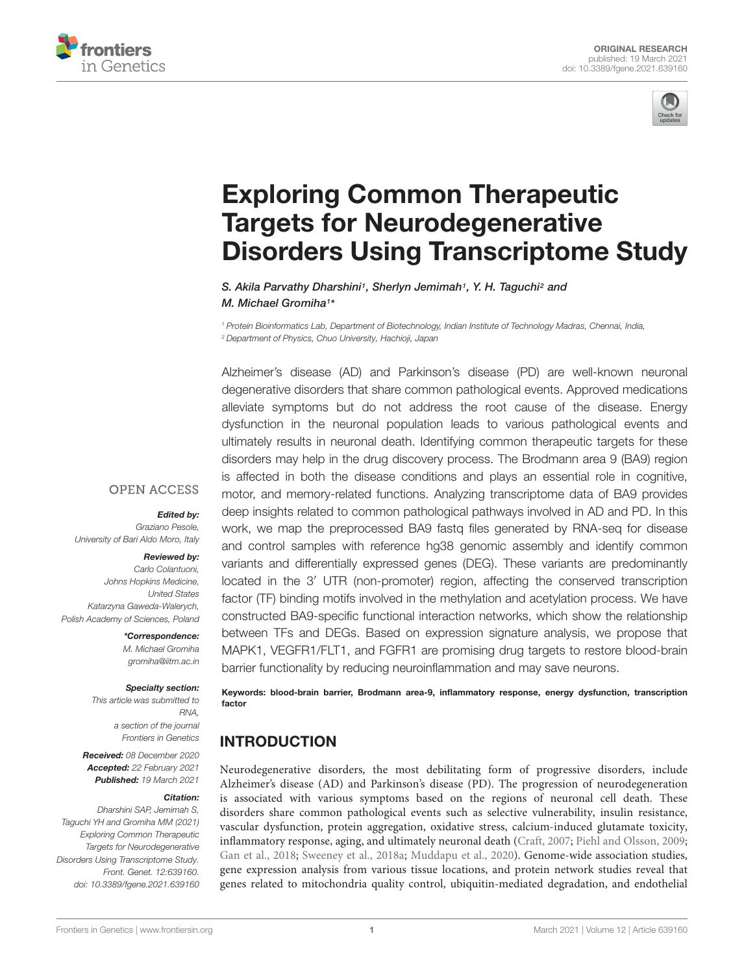



# Exploring Common Therapeutic Targets for Neurodegenerative Disorders Using Transcriptome Study

S. Akila Parvathy Dharshini<sup>1</sup>, Sherlyn Jemimah<sup>1</sup>, Y. H. Taguchi<sup>2</sup> and M. Michael Gromiha<sup>1</sup> \*

*<sup>1</sup> Protein Bioinformatics Lab, Department of Biotechnology, Indian Institute of Technology Madras, Chennai, India, <sup>2</sup> Department of Physics, Chuo University, Hachioji, Japan*

Alzheimer's disease (AD) and Parkinson's disease (PD) are well-known neuronal degenerative disorders that share common pathological events. Approved medications alleviate symptoms but do not address the root cause of the disease. Energy dysfunction in the neuronal population leads to various pathological events and ultimately results in neuronal death. Identifying common therapeutic targets for these disorders may help in the drug discovery process. The Brodmann area 9 (BA9) region is affected in both the disease conditions and plays an essential role in cognitive, motor, and memory-related functions. Analyzing transcriptome data of BA9 provides deep insights related to common pathological pathways involved in AD and PD. In this work, we map the preprocessed BA9 fastq files generated by RNA-seq for disease and control samples with reference hg38 genomic assembly and identify common variants and differentially expressed genes (DEG). These variants are predominantly located in the 3′ UTR (non-promoter) region, affecting the conserved transcription factor (TF) binding motifs involved in the methylation and acetylation process. We have constructed BA9-specific functional interaction networks, which show the relationship between TFs and DEGs. Based on expression signature analysis, we propose that MAPK1, VEGFR1/FLT1, and FGFR1 are promising drug targets to restore blood-brain barrier functionality by reducing neuroinflammation and may save neurons.

Keywords: blood-brain barrier, Brodmann area-9, inflammatory response, energy dysfunction, transcription factor

## INTRODUCTION

Neurodegenerative disorders, the most debilitating form of progressive disorders, include Alzheimer's disease (AD) and Parkinson's disease (PD). The progression of neurodegeneration is associated with various symptoms based on the regions of neuronal cell death. These disorders share common pathological events such as selective vulnerability, insulin resistance, vascular dysfunction, protein aggregation, oxidative stress, calcium-induced glutamate toxicity, inflammatory response, aging, and ultimately neuronal death (Craft, 2007; Piehl and Olsson, 2009; Gan et al., 2018; Sweeney et al., 2018a; Muddapu et al., 2020). Genome-wide association studies, gene expression analysis from various tissue locations, and protein network studies reveal that genes related to mitochondria quality control, ubiquitin-mediated degradation, and endothelial

#### **OPEN ACCESS**

Edited by:

*Graziano Pesole, University of Bari Aldo Moro, Italy*

#### Reviewed by:

*Carlo Colantuoni, Johns Hopkins Medicine, United States Katarzyna Gaweda-Walerych, Polish Academy of Sciences, Poland*

> \*Correspondence: *M. Michael Gromiha gromiha@iitm.ac.in*

#### Specialty section:

*This article was submitted to RNA, a section of the journal Frontiers in Genetics*

Received: *08 December 2020* Accepted: *22 February 2021* Published: *19 March 2021*

#### Citation:

*Dharshini SAP, Jemimah S, Taguchi YH and Gromiha MM (2021) Exploring Common Therapeutic Targets for Neurodegenerative Disorders Using Transcriptome Study. Front. Genet. 12:639160. doi: 10.3389/fgene.2021.639160*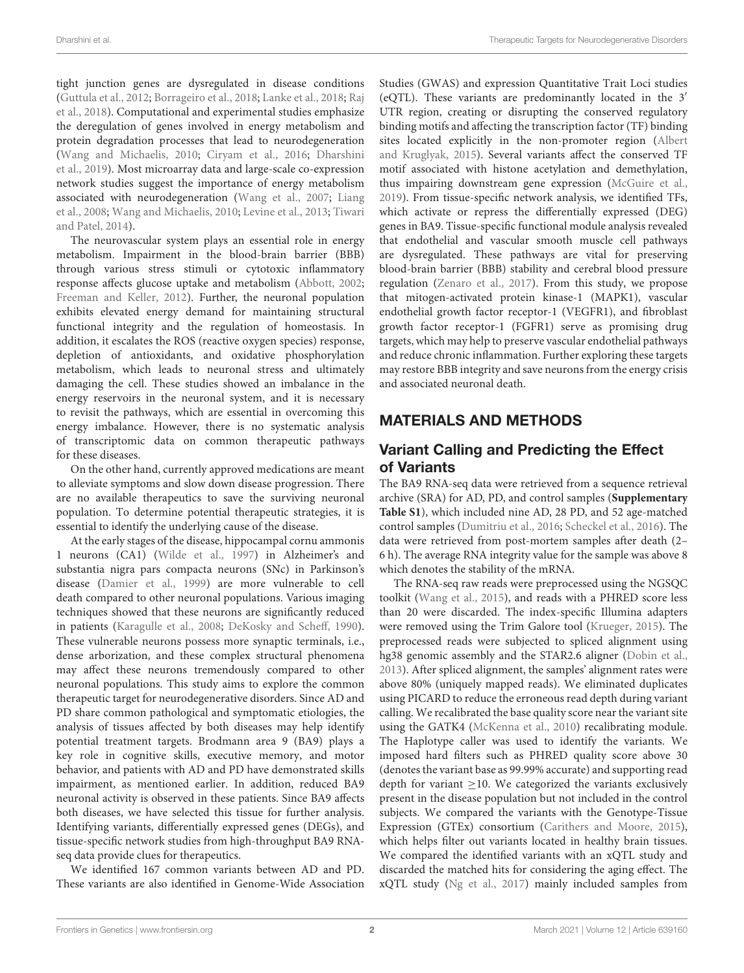tight junction genes are dysregulated in disease conditions (Guttula et al., 2012; Borrageiro et al., 2018; Lanke et al., 2018; Raj et al., 2018). Computational and experimental studies emphasize the deregulation of genes involved in energy metabolism and protein degradation processes that lead to neurodegeneration (Wang and Michaelis, 2010; Ciryam et al., 2016; Dharshini et al., 2019). Most microarray data and large-scale co-expression network studies suggest the importance of energy metabolism associated with neurodegeneration (Wang et al., 2007; Liang et al., 2008; Wang and Michaelis, 2010; Levine et al., 2013; Tiwari and Patel, 2014).

The neurovascular system plays an essential role in energy metabolism. Impairment in the blood-brain barrier (BBB) through various stress stimuli or cytotoxic inflammatory response affects glucose uptake and metabolism (Abbott, 2002; Freeman and Keller, 2012). Further, the neuronal population exhibits elevated energy demand for maintaining structural functional integrity and the regulation of homeostasis. In addition, it escalates the ROS (reactive oxygen species) response, depletion of antioxidants, and oxidative phosphorylation metabolism, which leads to neuronal stress and ultimately damaging the cell. These studies showed an imbalance in the energy reservoirs in the neuronal system, and it is necessary to revisit the pathways, which are essential in overcoming this energy imbalance. However, there is no systematic analysis of transcriptomic data on common therapeutic pathways for these diseases.

On the other hand, currently approved medications are meant to alleviate symptoms and slow down disease progression. There are no available therapeutics to save the surviving neuronal population. To determine potential therapeutic strategies, it is essential to identify the underlying cause of the disease.

At the early stages of the disease, hippocampal cornu ammonis 1 neurons (CA1) (Wilde et al., 1997) in Alzheimer's and substantia nigra pars compacta neurons (SNc) in Parkinson's disease (Damier et al., 1999) are more vulnerable to cell death compared to other neuronal populations. Various imaging techniques showed that these neurons are significantly reduced in patients (Karagulle et al., 2008; DeKosky and Scheff, 1990). These vulnerable neurons possess more synaptic terminals, i.e., dense arborization, and these complex structural phenomena may affect these neurons tremendously compared to other neuronal populations. This study aims to explore the common therapeutic target for neurodegenerative disorders. Since AD and PD share common pathological and symptomatic etiologies, the analysis of tissues affected by both diseases may help identify potential treatment targets. Brodmann area 9 (BA9) plays a key role in cognitive skills, executive memory, and motor behavior, and patients with AD and PD have demonstrated skills impairment, as mentioned earlier. In addition, reduced BA9 neuronal activity is observed in these patients. Since BA9 affects both diseases, we have selected this tissue for further analysis. Identifying variants, differentially expressed genes (DEGs), and tissue-specific network studies from high-throughput BA9 RNAseq data provide clues for therapeutics.

We identified 167 common variants between AD and PD. These variants are also identified in Genome-Wide Association Studies (GWAS) and expression Quantitative Trait Loci studies (eQTL). These variants are predominantly located in the 3′ UTR region, creating or disrupting the conserved regulatory binding motifs and affecting the transcription factor (TF) binding sites located explicitly in the non-promoter region (Albert and Kruglyak, 2015). Several variants affect the conserved TF motif associated with histone acetylation and demethylation, thus impairing downstream gene expression (McGuire et al., 2019). From tissue-specific network analysis, we identified TFs, which activate or repress the differentially expressed (DEG) genes in BA9. Tissue-specific functional module analysis revealed that endothelial and vascular smooth muscle cell pathways are dysregulated. These pathways are vital for preserving blood-brain barrier (BBB) stability and cerebral blood pressure regulation (Zenaro et al., 2017). From this study, we propose that mitogen-activated protein kinase-1 (MAPK1), vascular endothelial growth factor receptor-1 (VEGFR1), and fibroblast growth factor receptor-1 (FGFR1) serve as promising drug targets, which may help to preserve vascular endothelial pathways and reduce chronic inflammation. Further exploring these targets may restore BBB integrity and save neurons from the energy crisis and associated neuronal death.

## MATERIALS AND METHODS

## Variant Calling and Predicting the Effect of Variants

The BA9 RNA-seq data were retrieved from a sequence retrieval archive (SRA) for AD, PD, and control samples (**Supplementary Table S1**), which included nine AD, 28 PD, and 52 age-matched control samples (Dumitriu et al., 2016; Scheckel et al., 2016). The data were retrieved from post-mortem samples after death (2– 6 h). The average RNA integrity value for the sample was above 8 which denotes the stability of the mRNA.

The RNA-seq raw reads were preprocessed using the NGSQC toolkit (Wang et al., 2015), and reads with a PHRED score less than 20 were discarded. The index-specific Illumina adapters were removed using the Trim Galore tool (Krueger, 2015). The preprocessed reads were subjected to spliced alignment using hg38 genomic assembly and the STAR2.6 aligner (Dobin et al., 2013). After spliced alignment, the samples' alignment rates were above 80% (uniquely mapped reads). We eliminated duplicates using PICARD to reduce the erroneous read depth during variant calling. We recalibrated the base quality score near the variant site using the GATK4 (McKenna et al., 2010) recalibrating module. The Haplotype caller was used to identify the variants. We imposed hard filters such as PHRED quality score above 30 (denotes the variant base as 99.99% accurate) and supporting read depth for variant  $\geq$ 10. We categorized the variants exclusively present in the disease population but not included in the control subjects. We compared the variants with the Genotype-Tissue Expression (GTEx) consortium (Carithers and Moore, 2015), which helps filter out variants located in healthy brain tissues. We compared the identified variants with an xQTL study and discarded the matched hits for considering the aging effect. The xQTL study (Ng et al., 2017) mainly included samples from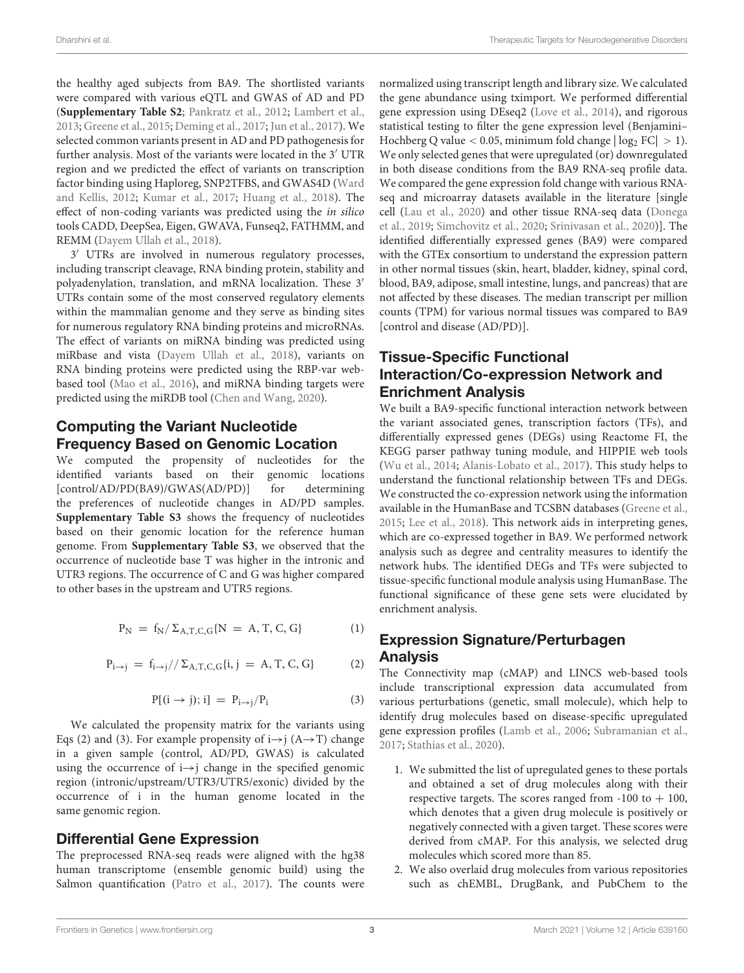the healthy aged subjects from BA9. The shortlisted variants were compared with various eQTL and GWAS of AD and PD (**Supplementary Table S2**; Pankratz et al., 2012; Lambert et al., 2013; Greene et al., 2015; Deming et al., 2017; Jun et al., 2017). We selected common variants present in AD and PD pathogenesis for further analysis. Most of the variants were located in the 3′ UTR region and we predicted the effect of variants on transcription factor binding using Haploreg, SNP2TFBS, and GWAS4D (Ward and Kellis, 2012; Kumar et al., 2017; Huang et al., 2018). The effect of non-coding variants was predicted using the in silico tools CADD, DeepSea, Eigen, GWAVA, Funseq2, FATHMM, and REMM (Dayem Ullah et al., 2018).

3 ′ UTRs are involved in numerous regulatory processes, including transcript cleavage, RNA binding protein, stability and polyadenylation, translation, and mRNA localization. These 3′ UTRs contain some of the most conserved regulatory elements within the mammalian genome and they serve as binding sites for numerous regulatory RNA binding proteins and microRNAs. The effect of variants on miRNA binding was predicted using miRbase and vista (Dayem Ullah et al., 2018), variants on RNA binding proteins were predicted using the RBP-var webbased tool (Mao et al., 2016), and miRNA binding targets were predicted using the miRDB tool (Chen and Wang, 2020).

## Computing the Variant Nucleotide Frequency Based on Genomic Location

We computed the propensity of nucleotides for the identified variants based on their genomic locations [control/AD/PD(BA9)/GWAS(AD/PD)] for determining the preferences of nucleotide changes in AD/PD samples. **Supplementary Table S3** shows the frequency of nucleotides based on their genomic location for the reference human genome. From **Supplementary Table S3**, we observed that the occurrence of nucleotide base T was higher in the intronic and UTR3 regions. The occurrence of C and G was higher compared to other bases in the upstream and UTR5 regions.

$$
P_N \ = \ f_N / \, \Sigma_{A,T,C,G} \{ N \ = \ A, \, T, \, C, \, G \} \tag{1}
$$

$$
P_{i \to j} \, = \, f_{i \to j} // \, \Sigma_{A, T, C, G} \{i, j \, = \, A, T, C, G\} \tag{2}
$$

$$
P[(i \rightarrow j); i] = P_{i \rightarrow j}/P_i \tag{3}
$$

We calculated the propensity matrix for the variants using Eqs (2) and (3). For example propensity of  $i \rightarrow j$  (A $\rightarrow$ T) change in a given sample (control, AD/PD, GWAS) is calculated using the occurrence of  $i \rightarrow j$  change in the specified genomic region (intronic/upstream/UTR3/UTR5/exonic) divided by the occurrence of i in the human genome located in the same genomic region.

#### Differential Gene Expression

The preprocessed RNA-seq reads were aligned with the hg38 human transcriptome (ensemble genomic build) using the Salmon quantification (Patro et al., 2017). The counts were normalized using transcript length and library size. We calculated the gene abundance using tximport. We performed differential gene expression using DEseq2 (Love et al., 2014), and rigorous statistical testing to filter the gene expression level (Benjamini– Hochberg Q value < 0.05, minimum fold change  $|\log_2$  FC $| > 1$ ). We only selected genes that were upregulated (or) downregulated in both disease conditions from the BA9 RNA-seq profile data. We compared the gene expression fold change with various RNAseq and microarray datasets available in the literature [single cell (Lau et al., 2020) and other tissue RNA-seq data (Donega et al., 2019; Simchovitz et al., 2020; Srinivasan et al., 2020)]. The identified differentially expressed genes (BA9) were compared with the GTEx consortium to understand the expression pattern in other normal tissues (skin, heart, bladder, kidney, spinal cord, blood, BA9, adipose, small intestine, lungs, and pancreas) that are not affected by these diseases. The median transcript per million counts (TPM) for various normal tissues was compared to BA9 [control and disease (AD/PD)].

## Tissue-Specific Functional Interaction/Co-expression Network and Enrichment Analysis

We built a BA9-specific functional interaction network between the variant associated genes, transcription factors (TFs), and differentially expressed genes (DEGs) using Reactome FI, the KEGG parser pathway tuning module, and HIPPIE web tools (Wu et al., 2014; Alanis-Lobato et al., 2017). This study helps to understand the functional relationship between TFs and DEGs. We constructed the co-expression network using the information available in the HumanBase and TCSBN databases (Greene et al., 2015; Lee et al., 2018). This network aids in interpreting genes, which are co-expressed together in BA9. We performed network analysis such as degree and centrality measures to identify the network hubs. The identified DEGs and TFs were subjected to tissue-specific functional module analysis using HumanBase. The functional significance of these gene sets were elucidated by enrichment analysis.

## Expression Signature/Perturbagen Analysis

The Connectivity map (cMAP) and LINCS web-based tools include transcriptional expression data accumulated from various perturbations (genetic, small molecule), which help to identify drug molecules based on disease-specific upregulated gene expression profiles (Lamb et al., 2006; Subramanian et al., 2017; Stathias et al., 2020).

- 1. We submitted the list of upregulated genes to these portals and obtained a set of drug molecules along with their respective targets. The scores ranged from  $-100$  to  $+100$ , which denotes that a given drug molecule is positively or negatively connected with a given target. These scores were derived from cMAP. For this analysis, we selected drug molecules which scored more than 85.
- 2. We also overlaid drug molecules from various repositories such as chEMBL, DrugBank, and PubChem to the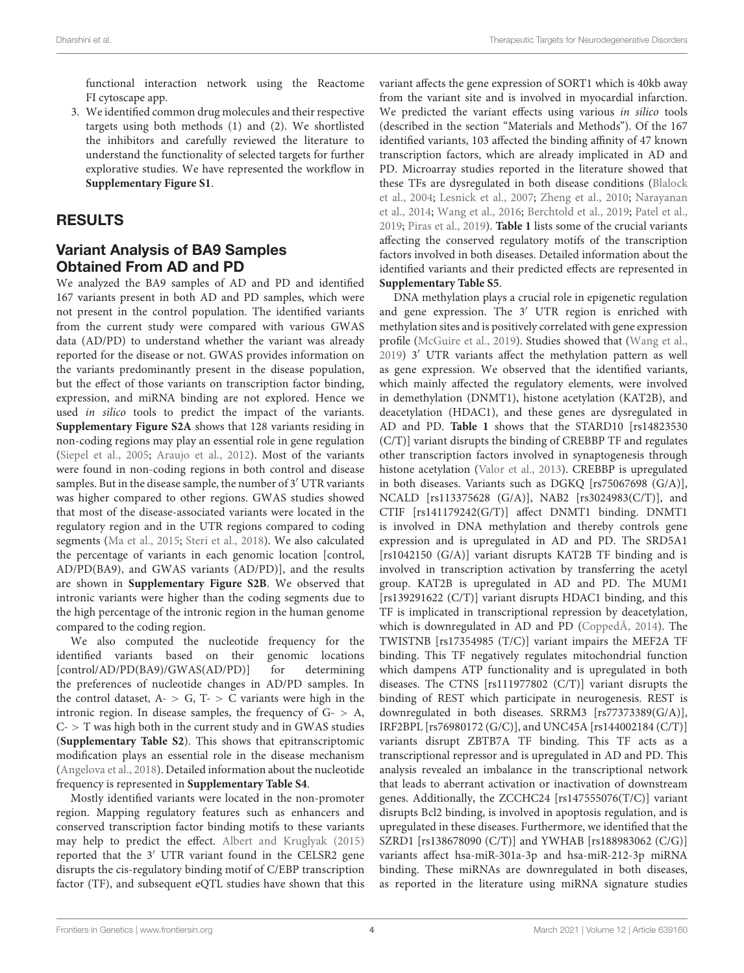functional interaction network using the Reactome FI cytoscape app.

3. We identified common drug molecules and their respective targets using both methods (1) and (2). We shortlisted the inhibitors and carefully reviewed the literature to understand the functionality of selected targets for further explorative studies. We have represented the workflow in **Supplementary Figure S1**.

## RESULTS

## Variant Analysis of BA9 Samples Obtained From AD and PD

We analyzed the BA9 samples of AD and PD and identified 167 variants present in both AD and PD samples, which were not present in the control population. The identified variants from the current study were compared with various GWAS data (AD/PD) to understand whether the variant was already reported for the disease or not. GWAS provides information on the variants predominantly present in the disease population, but the effect of those variants on transcription factor binding, expression, and miRNA binding are not explored. Hence we used in silico tools to predict the impact of the variants. **Supplementary Figure S2A** shows that 128 variants residing in non-coding regions may play an essential role in gene regulation (Siepel et al., 2005; Araujo et al., 2012). Most of the variants were found in non-coding regions in both control and disease samples. But in the disease sample, the number of 3′ UTR variants was higher compared to other regions. GWAS studies showed that most of the disease-associated variants were located in the regulatory region and in the UTR regions compared to coding segments (Ma et al., 2015; Steri et al., 2018). We also calculated the percentage of variants in each genomic location [control, AD/PD(BA9), and GWAS variants (AD/PD)], and the results are shown in **Supplementary Figure S2B**. We observed that intronic variants were higher than the coding segments due to the high percentage of the intronic region in the human genome compared to the coding region.

We also computed the nucleotide frequency for the identified variants based on their genomic locations [control/AD/PD(BA9)/GWAS(AD/PD)] for determining the preferences of nucleotide changes in AD/PD samples. In the control dataset,  $A - > G$ ,  $T - > C$  variants were high in the intronic region. In disease samples, the frequency of  $G - > A$ ,  $C >$  T was high both in the current study and in GWAS studies (**Supplementary Table S2**). This shows that epitranscriptomic modification plays an essential role in the disease mechanism (Angelova et al., 2018). Detailed information about the nucleotide frequency is represented in **Supplementary Table S4**.

Mostly identified variants were located in the non-promoter region. Mapping regulatory features such as enhancers and conserved transcription factor binding motifs to these variants may help to predict the effect. Albert and Kruglyak (2015) reported that the 3′ UTR variant found in the CELSR2 gene disrupts the cis-regulatory binding motif of C/EBP transcription factor (TF), and subsequent eQTL studies have shown that this variant affects the gene expression of SORT1 which is 40kb away from the variant site and is involved in myocardial infarction. We predicted the variant effects using various in silico tools (described in the section "Materials and Methods"). Of the 167 identified variants, 103 affected the binding affinity of 47 known transcription factors, which are already implicated in AD and PD. Microarray studies reported in the literature showed that these TFs are dysregulated in both disease conditions (Blalock et al., 2004; Lesnick et al., 2007; Zheng et al., 2010; Narayanan et al., 2014; Wang et al., 2016; Berchtold et al., 2019; Patel et al., 2019; Piras et al., 2019). **Table 1** lists some of the crucial variants affecting the conserved regulatory motifs of the transcription factors involved in both diseases. Detailed information about the identified variants and their predicted effects are represented in **Supplementary Table S5**.

DNA methylation plays a crucial role in epigenetic regulation and gene expression. The 3′ UTR region is enriched with methylation sites and is positively correlated with gene expression profile (McGuire et al., 2019). Studies showed that (Wang et al., 2019) 3′ UTR variants affect the methylation pattern as well as gene expression. We observed that the identified variants, which mainly affected the regulatory elements, were involved in demethylation (DNMT1), histone acetylation (KAT2B), and deacetylation (HDAC1), and these genes are dysregulated in AD and PD. **Table 1** shows that the STARD10 [rs14823530 (C/T)] variant disrupts the binding of CREBBP TF and regulates other transcription factors involved in synaptogenesis through histone acetylation (Valor et al., 2013). CREBBP is upregulated in both diseases. Variants such as DGKQ [rs75067698 (G/A)], NCALD [rs113375628 (G/A)], NAB2 [rs3024983(C/T)], and CTIF [rs141179242(G/T)] affect DNMT1 binding. DNMT1 is involved in DNA methylation and thereby controls gene expression and is upregulated in AD and PD. The SRD5A1 [rs1042150 (G/A)] variant disrupts KAT2B TF binding and is involved in transcription activation by transferring the acetyl group. KAT2B is upregulated in AD and PD. The MUM1 [rs139291622 (C/T)] variant disrupts HDAC1 binding, and this TF is implicated in transcriptional repression by deacetylation, which is downregulated in AD and PD (CoppedÃ, 2014). The TWISTNB [rs17354985 (T/C)] variant impairs the MEF2A TF binding. This TF negatively regulates mitochondrial function which dampens ATP functionality and is upregulated in both diseases. The CTNS [rs111977802 (C/T)] variant disrupts the binding of REST which participate in neurogenesis. REST is downregulated in both diseases. SRRM3 [rs77373389(G/A)], IRF2BPL [rs76980172 (G/C)], and UNC45A [rs144002184 (C/T)] variants disrupt ZBTB7A TF binding. This TF acts as a transcriptional repressor and is upregulated in AD and PD. This analysis revealed an imbalance in the transcriptional network that leads to aberrant activation or inactivation of downstream genes. Additionally, the ZCCHC24 [rs147555076(T/C)] variant disrupts Bcl2 binding, is involved in apoptosis regulation, and is upregulated in these diseases. Furthermore, we identified that the SZRD1 [rs138678090 (C/T)] and YWHAB [rs188983062 (C/G)] variants affect hsa-miR-301a-3p and hsa-miR-212-3p miRNA binding. These miRNAs are downregulated in both diseases, as reported in the literature using miRNA signature studies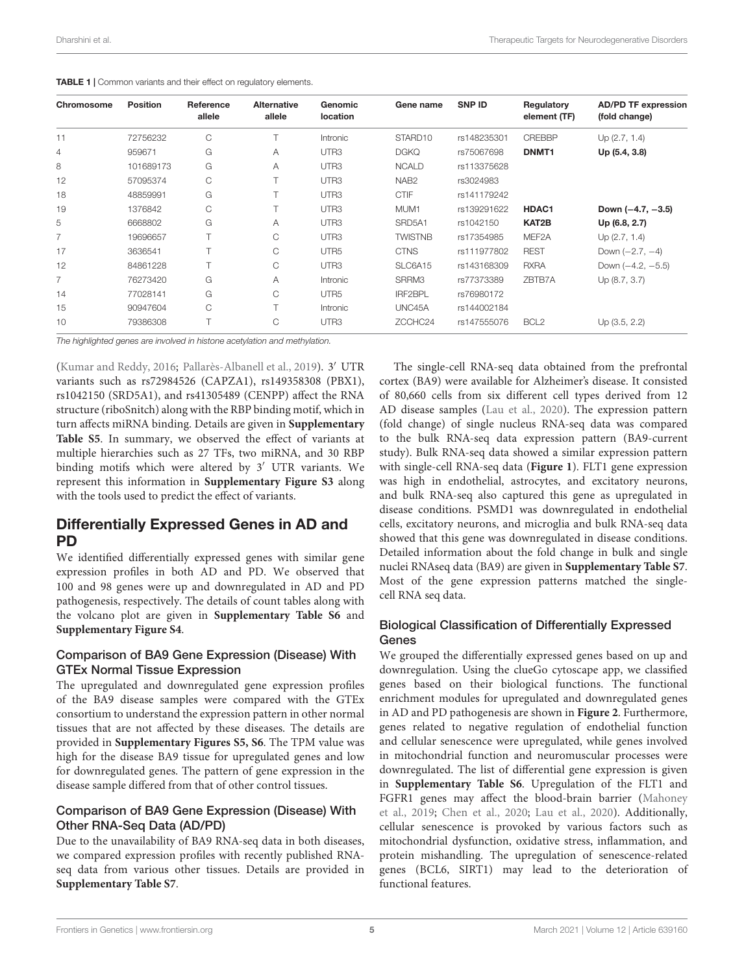| Dharshini et al. | Therapeutic Targets for Neurodegenerative Disorders |
|------------------|-----------------------------------------------------|
|                  |                                                     |

|  |  | <b>TABLE 1</b>   Common variants and their effect on regulatory elements. |  |  |  |  |  |  |  |
|--|--|---------------------------------------------------------------------------|--|--|--|--|--|--|--|
|--|--|---------------------------------------------------------------------------|--|--|--|--|--|--|--|

| Chromosome     | <b>Position</b> | Reference<br>allele | <b>Alternative</b><br>allele | Genomic<br><b>location</b> | Gene name        | <b>SNP ID</b> | Regulatory<br>element (TF) | <b>AD/PD TF expression</b><br>(fold change) |
|----------------|-----------------|---------------------|------------------------------|----------------------------|------------------|---------------|----------------------------|---------------------------------------------|
| 11             | 72756232        | C                   |                              | Intronic                   | STARD10          | rs148235301   | <b>CREBBP</b>              | Up(2.7, 1.4)                                |
| 4              | 959671          | G                   | A                            | UTR <sub>3</sub>           | <b>DGKQ</b>      | rs75067698    | DNMT <sub>1</sub>          | Up (5.4, 3.8)                               |
| 8              | 101689173       | G                   | A                            | UTR <sub>3</sub>           | <b>NCALD</b>     | rs113375628   |                            |                                             |
| 12             | 57095374        | С                   |                              | UTR <sub>3</sub>           | NAB <sub>2</sub> | rs3024983     |                            |                                             |
| 18             | 48859991        | G                   |                              | UTR <sub>3</sub>           | <b>CTIF</b>      | rs141179242   |                            |                                             |
| 19             | 1376842         | С                   |                              | UTR <sub>3</sub>           | MUM <sub>1</sub> | rs139291622   | HDAC1                      | Down $(-4.7, -3.5)$                         |
| 5              | 6668802         | G                   | A                            | UTR <sub>3</sub>           | SRD5A1           | rs1042150     | KAT2B                      | Up (6.8, 2.7)                               |
| $\overline{7}$ | 19696657        | T                   | C.                           | UTR <sub>3</sub>           | <b>TWISTNB</b>   | rs17354985    | MEF2A                      | Up(2.7, 1.4)                                |
| 17             | 3636541         |                     | С                            | UTR <sub>5</sub>           | <b>CTNS</b>      | rs111977802   | <b>REST</b>                | Down $(-2.7, -4)$                           |
| 12             | 84861228        |                     | C                            | UTR <sub>3</sub>           | SLC6A15          | rs143168309   | <b>RXRA</b>                | Down $(-4.2, -5.5)$                         |
| $\overline{7}$ | 76273420        | G                   | A                            | Intronic                   | SRRM3            | rs77373389    | ZBTB7A                     | Up (8.7, 3.7)                               |
| 14             | 77028141        | G                   | C                            | UTR <sub>5</sub>           | IRF2BPL          | rs76980172    |                            |                                             |
| 15             | 90947604        | С                   |                              | Intronic                   | UNC45A           | rs144002184   |                            |                                             |
| 10             | 79386308        |                     | C                            | UTR <sub>3</sub>           | ZCCHC24          | rs147555076   | BCL <sub>2</sub>           | Up (3.5, 2.2)                               |

*The highlighted genes are involved in histone acetylation and methylation.*

(Kumar and Reddy, 2016; Pallarès-Albanell et al., 2019). 3′ UTR variants such as rs72984526 (CAPZA1), rs149358308 (PBX1), rs1042150 (SRD5A1), and rs41305489 (CENPP) affect the RNA structure (riboSnitch) along with the RBP binding motif, which in turn affects miRNA binding. Details are given in **Supplementary Table S5**. In summary, we observed the effect of variants at multiple hierarchies such as 27 TFs, two miRNA, and 30 RBP binding motifs which were altered by 3′ UTR variants. We represent this information in **Supplementary Figure S3** along with the tools used to predict the effect of variants.

## Differentially Expressed Genes in AD and PD

We identified differentially expressed genes with similar gene expression profiles in both AD and PD. We observed that 100 and 98 genes were up and downregulated in AD and PD pathogenesis, respectively. The details of count tables along with the volcano plot are given in **Supplementary Table S6** and **Supplementary Figure S4**.

#### Comparison of BA9 Gene Expression (Disease) With GTEx Normal Tissue Expression

The upregulated and downregulated gene expression profiles of the BA9 disease samples were compared with the GTEx consortium to understand the expression pattern in other normal tissues that are not affected by these diseases. The details are provided in **Supplementary Figures S5, S6**. The TPM value was high for the disease BA9 tissue for upregulated genes and low for downregulated genes. The pattern of gene expression in the disease sample differed from that of other control tissues.

#### Comparison of BA9 Gene Expression (Disease) With Other RNA-Seq Data (AD/PD)

Due to the unavailability of BA9 RNA-seq data in both diseases, we compared expression profiles with recently published RNAseq data from various other tissues. Details are provided in **Supplementary Table S7**.

The single-cell RNA-seq data obtained from the prefrontal cortex (BA9) were available for Alzheimer's disease. It consisted of 80,660 cells from six different cell types derived from 12 AD disease samples (Lau et al., 2020). The expression pattern (fold change) of single nucleus RNA-seq data was compared to the bulk RNA-seq data expression pattern (BA9-current study). Bulk RNA-seq data showed a similar expression pattern with single-cell RNA-seq data (**Figure 1**). FLT1 gene expression was high in endothelial, astrocytes, and excitatory neurons, and bulk RNA-seq also captured this gene as upregulated in disease conditions. PSMD1 was downregulated in endothelial cells, excitatory neurons, and microglia and bulk RNA-seq data showed that this gene was downregulated in disease conditions. Detailed information about the fold change in bulk and single nuclei RNAseq data (BA9) are given in **Supplementary Table S7**. Most of the gene expression patterns matched the singlecell RNA seq data.

#### Biological Classification of Differentially Expressed Genes

We grouped the differentially expressed genes based on up and downregulation. Using the clueGo cytoscape app, we classified genes based on their biological functions. The functional enrichment modules for upregulated and downregulated genes in AD and PD pathogenesis are shown in **Figure 2**. Furthermore, genes related to negative regulation of endothelial function and cellular senescence were upregulated, while genes involved in mitochondrial function and neuromuscular processes were downregulated. The list of differential gene expression is given in **Supplementary Table S6**. Upregulation of the FLT1 and FGFR1 genes may affect the blood-brain barrier (Mahoney et al., 2019; Chen et al., 2020; Lau et al., 2020). Additionally, cellular senescence is provoked by various factors such as mitochondrial dysfunction, oxidative stress, inflammation, and protein mishandling. The upregulation of senescence-related genes (BCL6, SIRT1) may lead to the deterioration of functional features.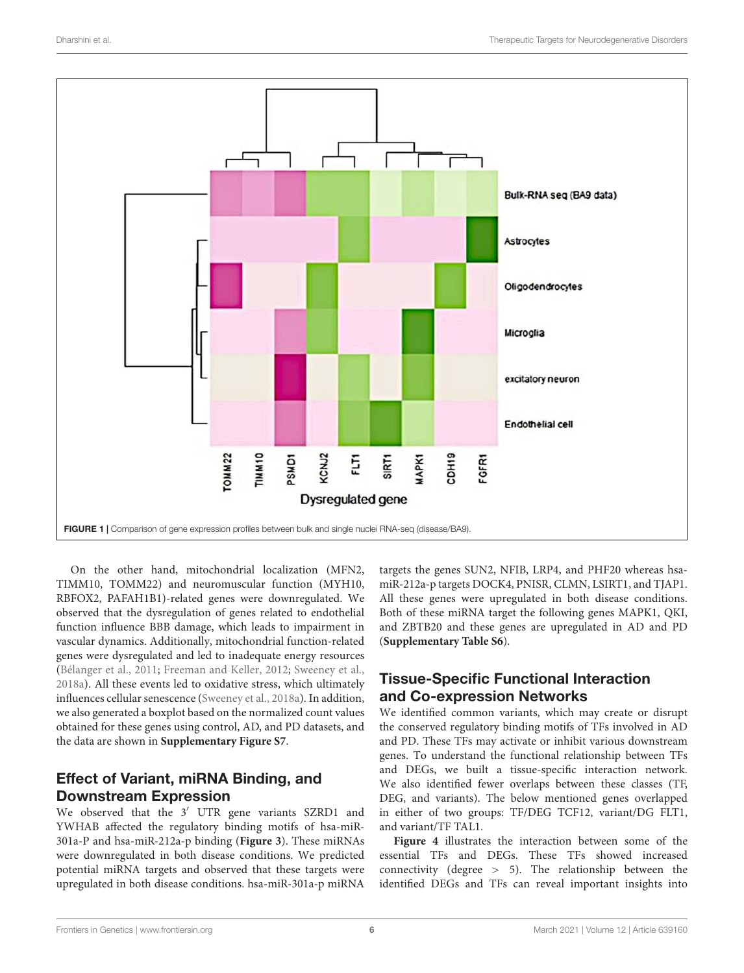

On the other hand, mitochondrial localization (MFN2, TIMM10, TOMM22) and neuromuscular function (MYH10, RBFOX2, PAFAH1B1)-related genes were downregulated. We observed that the dysregulation of genes related to endothelial function influence BBB damage, which leads to impairment in vascular dynamics. Additionally, mitochondrial function-related genes were dysregulated and led to inadequate energy resources (Bélanger et al., 2011; Freeman and Keller, 2012; Sweeney et al., 2018a). All these events led to oxidative stress, which ultimately influences cellular senescence (Sweeney et al., 2018a). In addition, we also generated a boxplot based on the normalized count values obtained for these genes using control, AD, and PD datasets, and the data are shown in **Supplementary Figure S7**.

## Effect of Variant, miRNA Binding, and Downstream Expression

We observed that the 3′ UTR gene variants SZRD1 and YWHAB affected the regulatory binding motifs of hsa-miR-301a-P and hsa-miR-212a-p binding (**Figure 3**). These miRNAs were downregulated in both disease conditions. We predicted potential miRNA targets and observed that these targets were upregulated in both disease conditions. hsa-miR-301a-p miRNA

targets the genes SUN2, NFIB, LRP4, and PHF20 whereas hsamiR-212a-p targets DOCK4, PNISR, CLMN, LSIRT1, and TJAP1. All these genes were upregulated in both disease conditions. Both of these miRNA target the following genes MAPK1, QKI, and ZBTB20 and these genes are upregulated in AD and PD (**Supplementary Table S6**).

# Tissue-Specific Functional Interaction and Co-expression Networks

We identified common variants, which may create or disrupt the conserved regulatory binding motifs of TFs involved in AD and PD. These TFs may activate or inhibit various downstream genes. To understand the functional relationship between TFs and DEGs, we built a tissue-specific interaction network. We also identified fewer overlaps between these classes (TF, DEG, and variants). The below mentioned genes overlapped in either of two groups: TF/DEG TCF12, variant/DG FLT1, and variant/TF TAL1.

**Figure 4** illustrates the interaction between some of the essential TFs and DEGs. These TFs showed increased connectivity (degree > 5). The relationship between the identified DEGs and TFs can reveal important insights into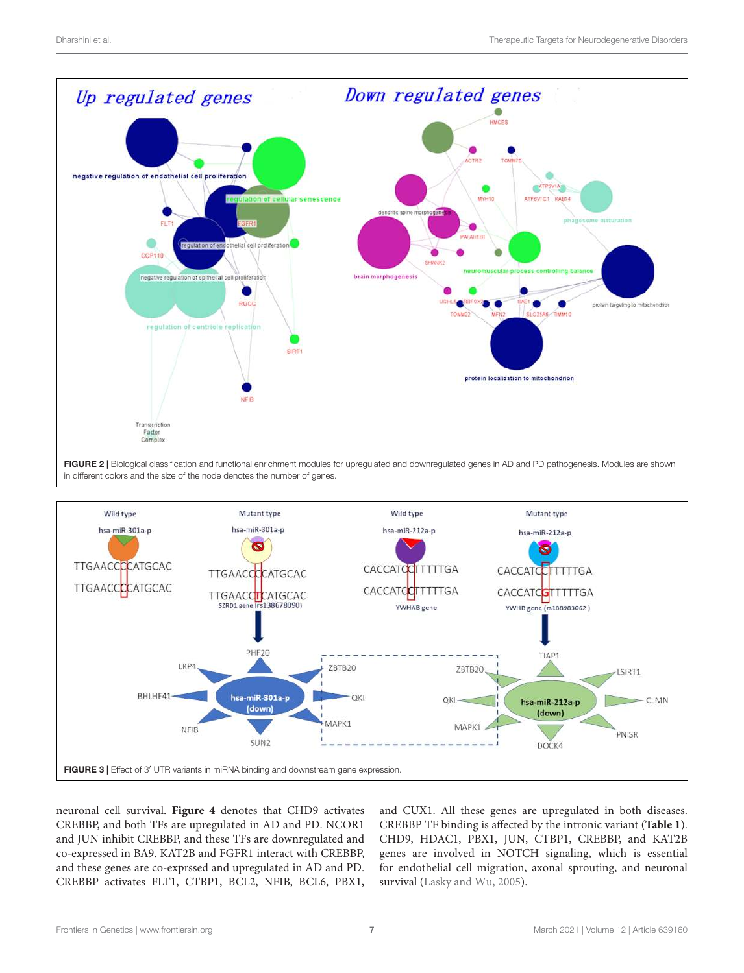



neuronal cell survival. **Figure 4** denotes that CHD9 activates CREBBP, and both TFs are upregulated in AD and PD. NCOR1 and JUN inhibit CREBBP, and these TFs are downregulated and co-expressed in BA9. KAT2B and FGFR1 interact with CREBBP, and these genes are co-exprssed and upregulated in AD and PD. CREBBP activates FLT1, CTBP1, BCL2, NFIB, BCL6, PBX1,

and CUX1. All these genes are upregulated in both diseases. CREBBP TF binding is affected by the intronic variant (**Table 1**). CHD9, HDAC1, PBX1, JUN, CTBP1, CREBBP, and KAT2B genes are involved in NOTCH signaling, which is essential for endothelial cell migration, axonal sprouting, and neuronal survival (Lasky and Wu, 2005).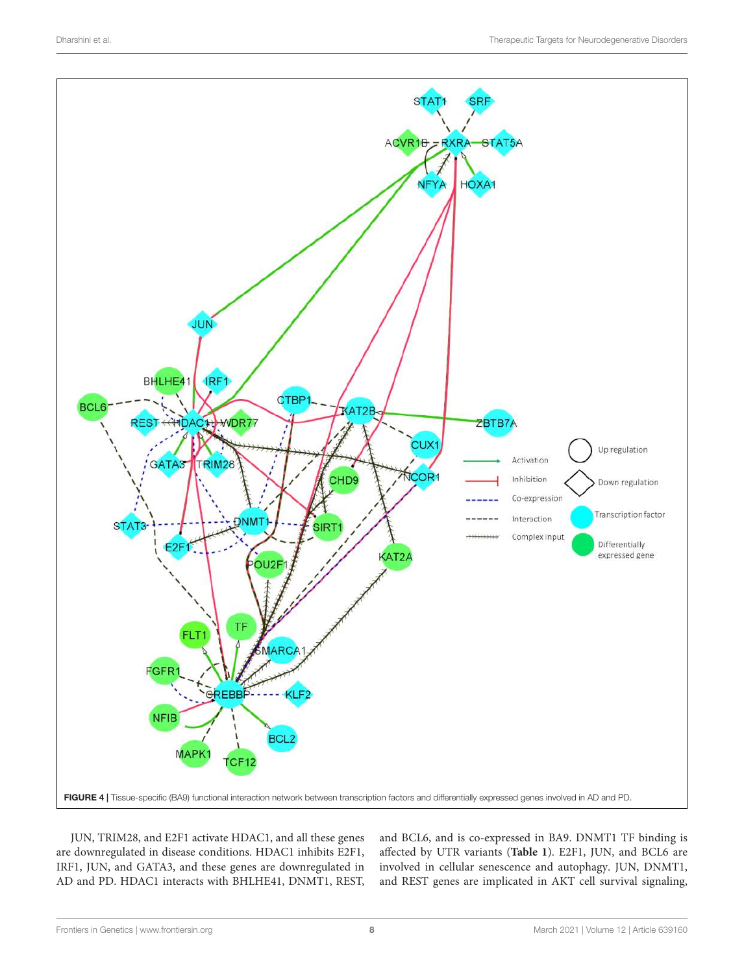

JUN, TRIM28, and E2F1 activate HDAC1, and all these genes are downregulated in disease conditions. HDAC1 inhibits E2F1, IRF1, JUN, and GATA3, and these genes are downregulated in AD and PD. HDAC1 interacts with BHLHE41, DNMT1, REST,

and BCL6, and is co-expressed in BA9. DNMT1 TF binding is affected by UTR variants (**Table 1**). E2F1, JUN, and BCL6 are involved in cellular senescence and autophagy. JUN, DNMT1, and REST genes are implicated in AKT cell survival signaling,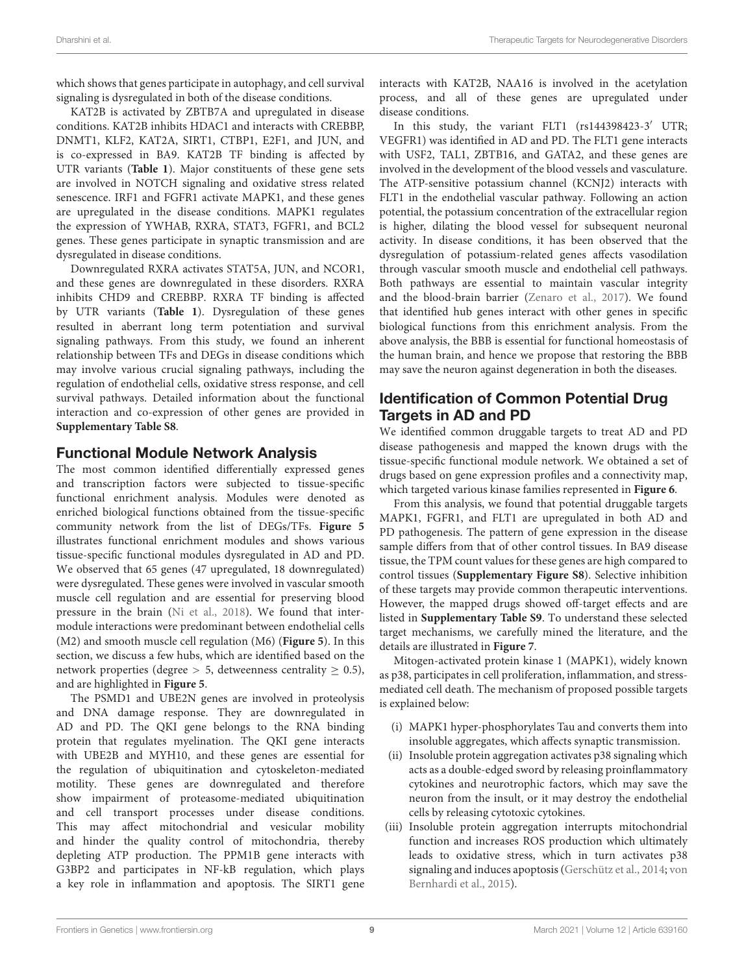which shows that genes participate in autophagy, and cell survival signaling is dysregulated in both of the disease conditions.

KAT2B is activated by ZBTB7A and upregulated in disease conditions. KAT2B inhibits HDAC1 and interacts with CREBBP, DNMT1, KLF2, KAT2A, SIRT1, CTBP1, E2F1, and JUN, and is co-expressed in BA9. KAT2B TF binding is affected by UTR variants (**Table 1**). Major constituents of these gene sets are involved in NOTCH signaling and oxidative stress related senescence. IRF1 and FGFR1 activate MAPK1, and these genes are upregulated in the disease conditions. MAPK1 regulates the expression of YWHAB, RXRA, STAT3, FGFR1, and BCL2 genes. These genes participate in synaptic transmission and are dysregulated in disease conditions.

Downregulated RXRA activates STAT5A, JUN, and NCOR1, and these genes are downregulated in these disorders. RXRA inhibits CHD9 and CREBBP. RXRA TF binding is affected by UTR variants (**Table 1**). Dysregulation of these genes resulted in aberrant long term potentiation and survival signaling pathways. From this study, we found an inherent relationship between TFs and DEGs in disease conditions which may involve various crucial signaling pathways, including the regulation of endothelial cells, oxidative stress response, and cell survival pathways. Detailed information about the functional interaction and co-expression of other genes are provided in **Supplementary Table S8**.

## Functional Module Network Analysis

The most common identified differentially expressed genes and transcription factors were subjected to tissue-specific functional enrichment analysis. Modules were denoted as enriched biological functions obtained from the tissue-specific community network from the list of DEGs/TFs. **Figure 5** illustrates functional enrichment modules and shows various tissue-specific functional modules dysregulated in AD and PD. We observed that 65 genes (47 upregulated, 18 downregulated) were dysregulated. These genes were involved in vascular smooth muscle cell regulation and are essential for preserving blood pressure in the brain (Ni et al., 2018). We found that intermodule interactions were predominant between endothelial cells (M2) and smooth muscle cell regulation (M6) (**Figure 5**). In this section, we discuss a few hubs, which are identified based on the network properties (degree  $> 5$ , detweenness centrality  $> 0.5$ ), and are highlighted in **Figure 5**.

The PSMD1 and UBE2N genes are involved in proteolysis and DNA damage response. They are downregulated in AD and PD. The QKI gene belongs to the RNA binding protein that regulates myelination. The QKI gene interacts with UBE2B and MYH10, and these genes are essential for the regulation of ubiquitination and cytoskeleton-mediated motility. These genes are downregulated and therefore show impairment of proteasome-mediated ubiquitination and cell transport processes under disease conditions. This may affect mitochondrial and vesicular mobility and hinder the quality control of mitochondria, thereby depleting ATP production. The PPM1B gene interacts with G3BP2 and participates in NF-kB regulation, which plays a key role in inflammation and apoptosis. The SIRT1 gene interacts with KAT2B, NAA16 is involved in the acetylation process, and all of these genes are upregulated under disease conditions.

In this study, the variant FLT1 (rs144398423-3′ UTR; VEGFR1) was identified in AD and PD. The FLT1 gene interacts with USF2, TAL1, ZBTB16, and GATA2, and these genes are involved in the development of the blood vessels and vasculature. The ATP-sensitive potassium channel (KCNJ2) interacts with FLT1 in the endothelial vascular pathway. Following an action potential, the potassium concentration of the extracellular region is higher, dilating the blood vessel for subsequent neuronal activity. In disease conditions, it has been observed that the dysregulation of potassium-related genes affects vasodilation through vascular smooth muscle and endothelial cell pathways. Both pathways are essential to maintain vascular integrity and the blood-brain barrier (Zenaro et al., 2017). We found that identified hub genes interact with other genes in specific biological functions from this enrichment analysis. From the above analysis, the BBB is essential for functional homeostasis of the human brain, and hence we propose that restoring the BBB may save the neuron against degeneration in both the diseases.

# Identification of Common Potential Drug Targets in AD and PD

We identified common druggable targets to treat AD and PD disease pathogenesis and mapped the known drugs with the tissue-specific functional module network. We obtained a set of drugs based on gene expression profiles and a connectivity map, which targeted various kinase families represented in **Figure 6**.

From this analysis, we found that potential druggable targets MAPK1, FGFR1, and FLT1 are upregulated in both AD and PD pathogenesis. The pattern of gene expression in the disease sample differs from that of other control tissues. In BA9 disease tissue, the TPM count values for these genes are high compared to control tissues (**Supplementary Figure S8**). Selective inhibition of these targets may provide common therapeutic interventions. However, the mapped drugs showed off-target effects and are listed in **Supplementary Table S9**. To understand these selected target mechanisms, we carefully mined the literature, and the details are illustrated in **Figure 7**.

Mitogen-activated protein kinase 1 (MAPK1), widely known as p38, participates in cell proliferation, inflammation, and stressmediated cell death. The mechanism of proposed possible targets is explained below:

- (i) MAPK1 hyper-phosphorylates Tau and converts them into insoluble aggregates, which affects synaptic transmission.
- (ii) Insoluble protein aggregation activates p38 signaling which acts as a double-edged sword by releasing proinflammatory cytokines and neurotrophic factors, which may save the neuron from the insult, or it may destroy the endothelial cells by releasing cytotoxic cytokines.
- (iii) Insoluble protein aggregation interrupts mitochondrial function and increases ROS production which ultimately leads to oxidative stress, which in turn activates p38 signaling and induces apoptosis (Gerschütz et al., 2014; von Bernhardi et al., 2015).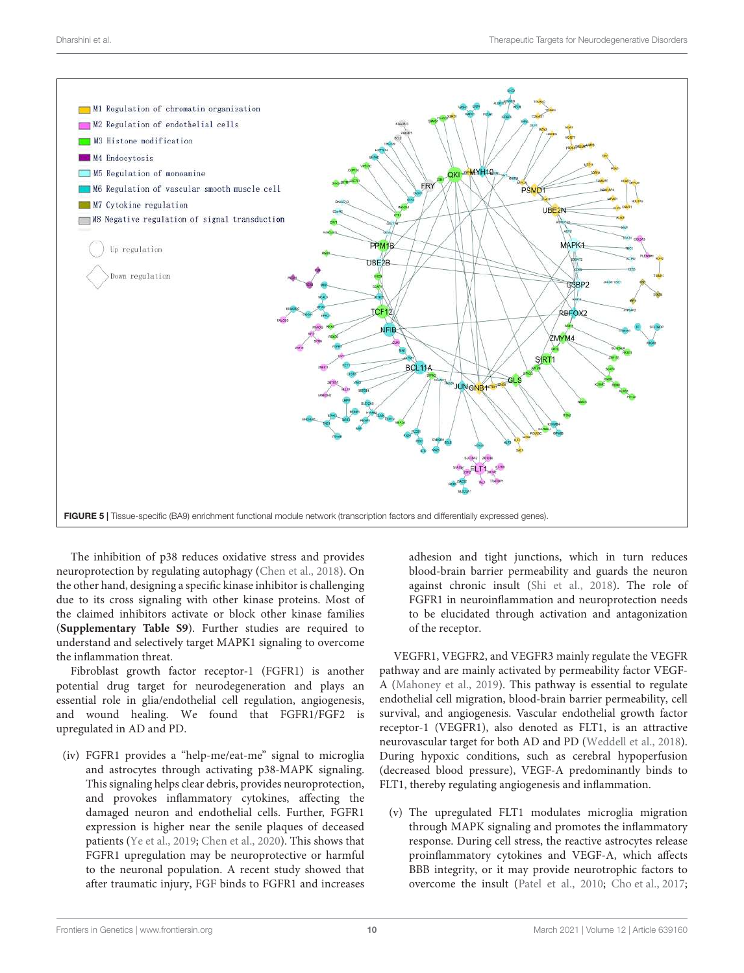

The inhibition of p38 reduces oxidative stress and provides neuroprotection by regulating autophagy (Chen et al., 2018). On the other hand, designing a specific kinase inhibitor is challenging due to its cross signaling with other kinase proteins. Most of the claimed inhibitors activate or block other kinase families (**Supplementary Table S9**). Further studies are required to understand and selectively target MAPK1 signaling to overcome the inflammation threat.

Fibroblast growth factor receptor-1 (FGFR1) is another potential drug target for neurodegeneration and plays an essential role in glia/endothelial cell regulation, angiogenesis, and wound healing. We found that FGFR1/FGF2 is upregulated in AD and PD.

(iv) FGFR1 provides a "help-me/eat-me" signal to microglia and astrocytes through activating p38-MAPK signaling. This signaling helps clear debris, provides neuroprotection, and provokes inflammatory cytokines, affecting the damaged neuron and endothelial cells. Further, FGFR1 expression is higher near the senile plaques of deceased patients (Ye et al., 2019; Chen et al., 2020). This shows that FGFR1 upregulation may be neuroprotective or harmful to the neuronal population. A recent study showed that after traumatic injury, FGF binds to FGFR1 and increases

adhesion and tight junctions, which in turn reduces blood-brain barrier permeability and guards the neuron against chronic insult (Shi et al., 2018). The role of FGFR1 in neuroinflammation and neuroprotection needs to be elucidated through activation and antagonization of the receptor.

VEGFR1, VEGFR2, and VEGFR3 mainly regulate the VEGFR pathway and are mainly activated by permeability factor VEGF-A (Mahoney et al., 2019). This pathway is essential to regulate endothelial cell migration, blood-brain barrier permeability, cell survival, and angiogenesis. Vascular endothelial growth factor receptor-1 (VEGFR1), also denoted as FLT1, is an attractive neurovascular target for both AD and PD (Weddell et al., 2018). During hypoxic conditions, such as cerebral hypoperfusion (decreased blood pressure), VEGF-A predominantly binds to FLT1, thereby regulating angiogenesis and inflammation.

(v) The upregulated FLT1 modulates microglia migration through MAPK signaling and promotes the inflammatory response. During cell stress, the reactive astrocytes release proinflammatory cytokines and VEGF-A, which affects BBB integrity, or it may provide neurotrophic factors to overcome the insult (Patel et al., 2010; Cho et al., 2017;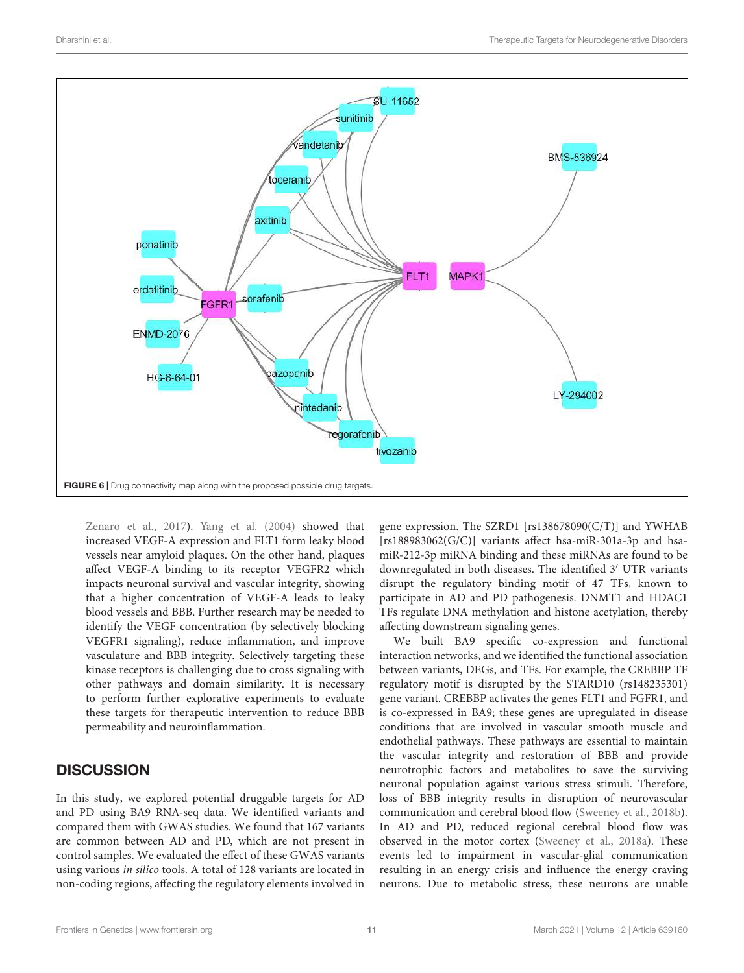

Zenaro et al., 2017). Yang et al. (2004) showed that increased VEGF-A expression and FLT1 form leaky blood vessels near amyloid plaques. On the other hand, plaques affect VEGF-A binding to its receptor VEGFR2 which impacts neuronal survival and vascular integrity, showing that a higher concentration of VEGF-A leads to leaky blood vessels and BBB. Further research may be needed to identify the VEGF concentration (by selectively blocking VEGFR1 signaling), reduce inflammation, and improve vasculature and BBB integrity. Selectively targeting these kinase receptors is challenging due to cross signaling with other pathways and domain similarity. It is necessary to perform further explorative experiments to evaluate these targets for therapeutic intervention to reduce BBB permeability and neuroinflammation.

# **DISCUSSION**

In this study, we explored potential druggable targets for AD and PD using BA9 RNA-seq data. We identified variants and compared them with GWAS studies. We found that 167 variants are common between AD and PD, which are not present in control samples. We evaluated the effect of these GWAS variants using various in silico tools. A total of 128 variants are located in non-coding regions, affecting the regulatory elements involved in

gene expression. The SZRD1 [rs138678090(C/T)] and YWHAB [rs188983062(G/C)] variants affect hsa-miR-301a-3p and hsamiR-212-3p miRNA binding and these miRNAs are found to be downregulated in both diseases. The identified 3′ UTR variants disrupt the regulatory binding motif of 47 TFs, known to participate in AD and PD pathogenesis. DNMT1 and HDAC1 TFs regulate DNA methylation and histone acetylation, thereby affecting downstream signaling genes.

We built BA9 specific co-expression and functional interaction networks, and we identified the functional association between variants, DEGs, and TFs. For example, the CREBBP TF regulatory motif is disrupted by the STARD10 (rs148235301) gene variant. CREBBP activates the genes FLT1 and FGFR1, and is co-expressed in BA9; these genes are upregulated in disease conditions that are involved in vascular smooth muscle and endothelial pathways. These pathways are essential to maintain the vascular integrity and restoration of BBB and provide neurotrophic factors and metabolites to save the surviving neuronal population against various stress stimuli. Therefore, loss of BBB integrity results in disruption of neurovascular communication and cerebral blood flow (Sweeney et al., 2018b). In AD and PD, reduced regional cerebral blood flow was observed in the motor cortex (Sweeney et al., 2018a). These events led to impairment in vascular-glial communication resulting in an energy crisis and influence the energy craving neurons. Due to metabolic stress, these neurons are unable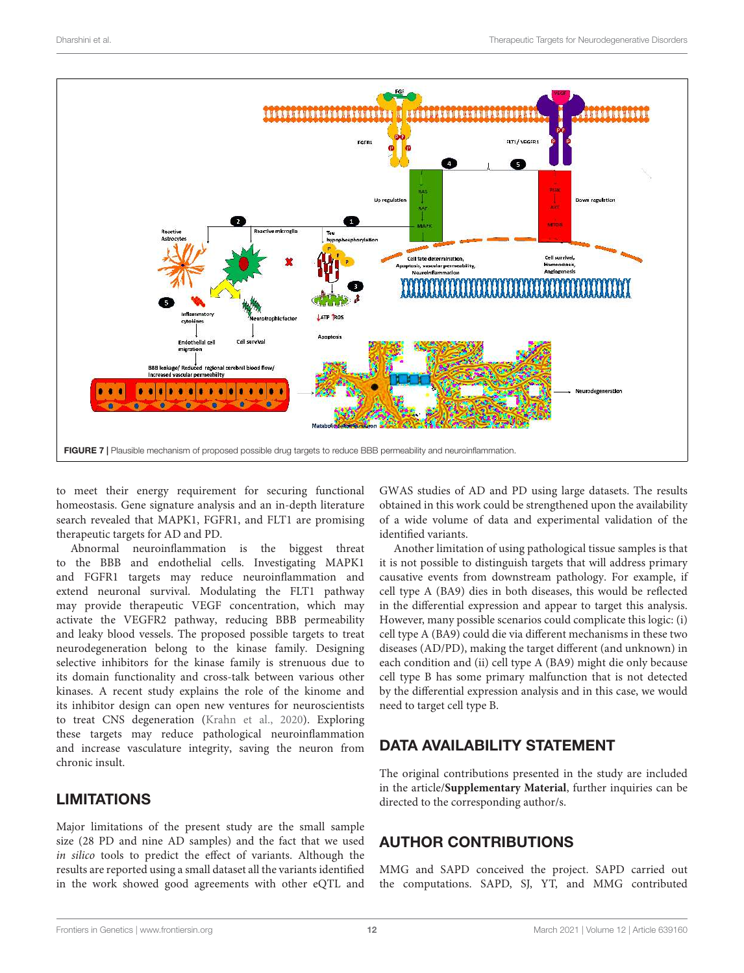![](_page_11_Figure_2.jpeg)

to meet their energy requirement for securing functional homeostasis. Gene signature analysis and an in-depth literature search revealed that MAPK1, FGFR1, and FLT1 are promising therapeutic targets for AD and PD.

Abnormal neuroinflammation is the biggest threat to the BBB and endothelial cells. Investigating MAPK1 and FGFR1 targets may reduce neuroinflammation and extend neuronal survival. Modulating the FLT1 pathway may provide therapeutic VEGF concentration, which may activate the VEGFR2 pathway, reducing BBB permeability and leaky blood vessels. The proposed possible targets to treat neurodegeneration belong to the kinase family. Designing selective inhibitors for the kinase family is strenuous due to its domain functionality and cross-talk between various other kinases. A recent study explains the role of the kinome and its inhibitor design can open new ventures for neuroscientists to treat CNS degeneration (Krahn et al., 2020). Exploring these targets may reduce pathological neuroinflammation and increase vasculature integrity, saving the neuron from chronic insult.

# LIMITATIONS

Major limitations of the present study are the small sample size (28 PD and nine AD samples) and the fact that we used in silico tools to predict the effect of variants. Although the results are reported using a small dataset all the variants identified in the work showed good agreements with other eQTL and

GWAS studies of AD and PD using large datasets. The results obtained in this work could be strengthened upon the availability of a wide volume of data and experimental validation of the identified variants.

Another limitation of using pathological tissue samples is that it is not possible to distinguish targets that will address primary causative events from downstream pathology. For example, if cell type A (BA9) dies in both diseases, this would be reflected in the differential expression and appear to target this analysis. However, many possible scenarios could complicate this logic: (i) cell type A (BA9) could die via different mechanisms in these two diseases (AD/PD), making the target different (and unknown) in each condition and (ii) cell type A (BA9) might die only because cell type B has some primary malfunction that is not detected by the differential expression analysis and in this case, we would need to target cell type B.

# DATA AVAILABILITY STATEMENT

The original contributions presented in the study are included in the article/**Supplementary Material**, further inquiries can be directed to the corresponding author/s.

# AUTHOR CONTRIBUTIONS

MMG and SAPD conceived the project. SAPD carried out the computations. SAPD, SJ, YT, and MMG contributed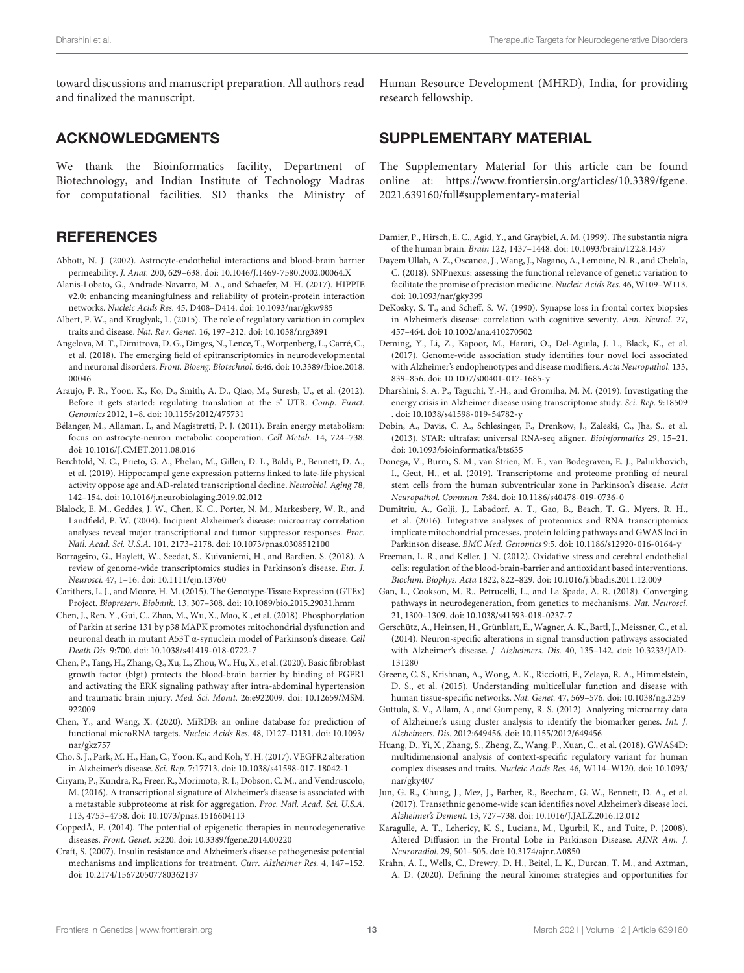toward discussions and manuscript preparation. All authors read and finalized the manuscript.

## ACKNOWLEDGMENTS

We thank the Bioinformatics facility, Department of Biotechnology, and Indian Institute of Technology Madras for computational facilities. SD thanks the Ministry of

## **REFERENCES**

- Abbott, N. J. (2002). Astrocyte-endothelial interactions and blood-brain barrier permeability. J. Anat. 200, 629–638. doi: 10.1046/J.1469-7580.2002.00064.X
- Alanis-Lobato, G., Andrade-Navarro, M. A., and Schaefer, M. H. (2017). HIPPIE v2.0: enhancing meaningfulness and reliability of protein-protein interaction networks. Nucleic Acids Res. 45, D408–D414. doi: 10.1093/nar/gkw985
- Albert, F. W., and Kruglyak, L. (2015). The role of regulatory variation in complex traits and disease. Nat. Rev. Genet. 16, 197–212. doi: 10.1038/nrg3891
- Angelova, M. T., Dimitrova, D. G., Dinges, N., Lence, T., Worpenberg, L., Carré, C., et al. (2018). The emerging field of epitranscriptomics in neurodevelopmental and neuronal disorders. Front. Bioeng. Biotechnol. 6:46. doi: 10.3389/fbioe.2018. 00046
- Araujo, P. R., Yoon, K., Ko, D., Smith, A. D., Qiao, M., Suresh, U., et al. (2012). Before it gets started: regulating translation at the 5' UTR. Comp. Funct. Genomics 2012, 1–8. doi: 10.1155/2012/475731
- Bélanger, M., Allaman, I., and Magistretti, P. J. (2011). Brain energy metabolism: focus on astrocyte-neuron metabolic cooperation. Cell Metab. 14, 724–738. doi: 10.1016/J.CMET.2011.08.016
- Berchtold, N. C., Prieto, G. A., Phelan, M., Gillen, D. L., Baldi, P., Bennett, D. A., et al. (2019). Hippocampal gene expression patterns linked to late-life physical activity oppose age and AD-related transcriptional decline. Neurobiol. Aging 78, 142–154. doi: 10.1016/j.neurobiolaging.2019.02.012
- Blalock, E. M., Geddes, J. W., Chen, K. C., Porter, N. M., Markesbery, W. R., and Landfield, P. W. (2004). Incipient Alzheimer's disease: microarray correlation analyses reveal major transcriptional and tumor suppressor responses. Proc. Natl. Acad. Sci. U.S.A. 101, 2173–2178. doi: 10.1073/pnas.0308512100
- Borrageiro, G., Haylett, W., Seedat, S., Kuivaniemi, H., and Bardien, S. (2018). A review of genome-wide transcriptomics studies in Parkinson's disease. Eur. J. Neurosci. 47, 1–16. doi: 10.1111/ejn.13760
- Carithers, L. J., and Moore, H. M. (2015). The Genotype-Tissue Expression (GTEx) Project. Biopreserv. Biobank. 13, 307–308. doi: 10.1089/bio.2015.29031.hmm
- Chen, J., Ren, Y., Gui, C., Zhao, M., Wu, X., Mao, K., et al. (2018). Phosphorylation of Parkin at serine 131 by p38 MAPK promotes mitochondrial dysfunction and neuronal death in mutant A53T α-synuclein model of Parkinson's disease. Cell Death Dis. 9:700. doi: 10.1038/s41419-018-0722-7
- Chen, P., Tang, H., Zhang, Q., Xu, L., Zhou, W., Hu, X., et al. (2020). Basic fibroblast growth factor (bfgf) protects the blood-brain barrier by binding of FGFR1 and activating the ERK signaling pathway after intra-abdominal hypertension and traumatic brain injury. Med. Sci. Monit. 26:e922009. doi: 10.12659/MSM. 922009
- Chen, Y., and Wang, X. (2020). MiRDB: an online database for prediction of functional microRNA targets. Nucleic Acids Res. 48, D127–D131. doi: 10.1093/ nar/gkz757
- Cho, S. J., Park, M. H., Han, C., Yoon, K., and Koh, Y. H. (2017). VEGFR2 alteration in Alzheimer's disease. Sci. Rep. 7:17713. doi: 10.1038/s41598-017-18042-1
- Ciryam, P., Kundra, R., Freer, R., Morimoto, R. I., Dobson, C. M., and Vendruscolo, M. (2016). A transcriptional signature of Alzheimer's disease is associated with a metastable subproteome at risk for aggregation. Proc. Natl. Acad. Sci. U.S.A. 113, 4753–4758. doi: 10.1073/pnas.1516604113
- CoppedÃ, F. (2014). The potential of epigenetic therapies in neurodegenerative diseases. Front. Genet. 5:220. doi: 10.3389/fgene.2014.00220
- Craft, S. (2007). Insulin resistance and Alzheimer's disease pathogenesis: potential mechanisms and implications for treatment. Curr. Alzheimer Res. 4, 147–152. doi: 10.2174/156720507780362137

Human Resource Development (MHRD), India, for providing research fellowship.

## SUPPLEMENTARY MATERIAL

The Supplementary Material for this article can be found online at: https://www.frontiersin.org/articles/10.3389/fgene. 2021.639160/full#supplementary-material

- Damier, P., Hirsch, E. C., Agid, Y., and Graybiel, A. M. (1999). The substantia nigra of the human brain. Brain 122, 1437–1448. doi: 10.1093/brain/122.8.1437
- Dayem Ullah, A. Z., Oscanoa, J., Wang, J., Nagano, A., Lemoine, N. R., and Chelala, C. (2018). SNPnexus: assessing the functional relevance of genetic variation to facilitate the promise of precision medicine. Nucleic Acids Res. 46, W109–W113. doi: 10.1093/nar/gky399
- DeKosky, S. T., and Scheff, S. W. (1990). Synapse loss in frontal cortex biopsies in Alzheimer's disease: correlation with cognitive severity. Ann. Neurol. 27, 457–464. doi: 10.1002/ana.410270502
- Deming, Y., Li, Z., Kapoor, M., Harari, O., Del-Aguila, J. L., Black, K., et al. (2017). Genome-wide association study identifies four novel loci associated with Alzheimer's endophenotypes and disease modifiers. Acta Neuropathol. 133, 839–856. doi: 10.1007/s00401-017-1685-y
- Dharshini, S. A. P., Taguchi, Y.-H., and Gromiha, M. M. (2019). Investigating the energy crisis in Alzheimer disease using transcriptome study. Sci. Rep. 9:18509 . doi: 10.1038/s41598-019-54782-y
- Dobin, A., Davis, C. A., Schlesinger, F., Drenkow, J., Zaleski, C., Jha, S., et al. (2013). STAR: ultrafast universal RNA-seq aligner. Bioinformatics 29, 15–21. doi: 10.1093/bioinformatics/bts635
- Donega, V., Burm, S. M., van Strien, M. E., van Bodegraven, E. J., Paliukhovich, I., Geut, H., et al. (2019). Transcriptome and proteome profiling of neural stem cells from the human subventricular zone in Parkinson's disease. Acta Neuropathol. Commun. 7:84. doi: 10.1186/s40478-019-0736-0
- Dumitriu, A., Golji, J., Labadorf, A. T., Gao, B., Beach, T. G., Myers, R. H., et al. (2016). Integrative analyses of proteomics and RNA transcriptomics implicate mitochondrial processes, protein folding pathways and GWAS loci in Parkinson disease. BMC Med. Genomics 9:5. doi: 10.1186/s12920-016-0164-y
- Freeman, L. R., and Keller, J. N. (2012). Oxidative stress and cerebral endothelial cells: regulation of the blood-brain-barrier and antioxidant based interventions. Biochim. Biophys. Acta 1822, 822–829. doi: 10.1016/j.bbadis.2011.12.009
- Gan, L., Cookson, M. R., Petrucelli, L., and La Spada, A. R. (2018). Converging pathways in neurodegeneration, from genetics to mechanisms. Nat. Neurosci. 21, 1300–1309. doi: 10.1038/s41593-018-0237-7
- Gerschütz, A., Heinsen, H., Grünblatt, E., Wagner, A. K., Bartl, J., Meissner, C., et al. (2014). Neuron-specific alterations in signal transduction pathways associated with Alzheimer's disease. J. Alzheimers. Dis. 40, 135–142. doi: 10.3233/JAD-131280
- Greene, C. S., Krishnan, A., Wong, A. K., Ricciotti, E., Zelaya, R. A., Himmelstein, D. S., et al. (2015). Understanding multicellular function and disease with human tissue-specific networks. Nat. Genet. 47, 569–576. doi: 10.1038/ng.3259
- Guttula, S. V., Allam, A., and Gumpeny, R. S. (2012). Analyzing microarray data of Alzheimer's using cluster analysis to identify the biomarker genes. Int. J. Alzheimers. Dis. 2012:649456. doi: 10.1155/2012/649456
- Huang, D., Yi, X., Zhang, S., Zheng, Z., Wang, P., Xuan, C., et al. (2018). GWAS4D: multidimensional analysis of context-specific regulatory variant for human complex diseases and traits. Nucleic Acids Res. 46, W114–W120. doi: 10.1093/ nar/gky407
- Jun, G. R., Chung, J., Mez, J., Barber, R., Beecham, G. W., Bennett, D. A., et al. (2017). Transethnic genome-wide scan identifies novel Alzheimer's disease loci. Alzheimer's Dement. 13, 727–738. doi: 10.1016/J.JALZ.2016.12.012
- Karagulle, A. T., Lehericy, K. S., Luciana, M., Ugurbil, K., and Tuite, P. (2008). Altered Diffusion in the Frontal Lobe in Parkinson Disease. AJNR Am. J. Neuroradiol. 29, 501–505. doi: 10.3174/ajnr.A0850
- Krahn, A. I., Wells, C., Drewry, D. H., Beitel, L. K., Durcan, T. M., and Axtman, A. D. (2020). Defining the neural kinome: strategies and opportunities for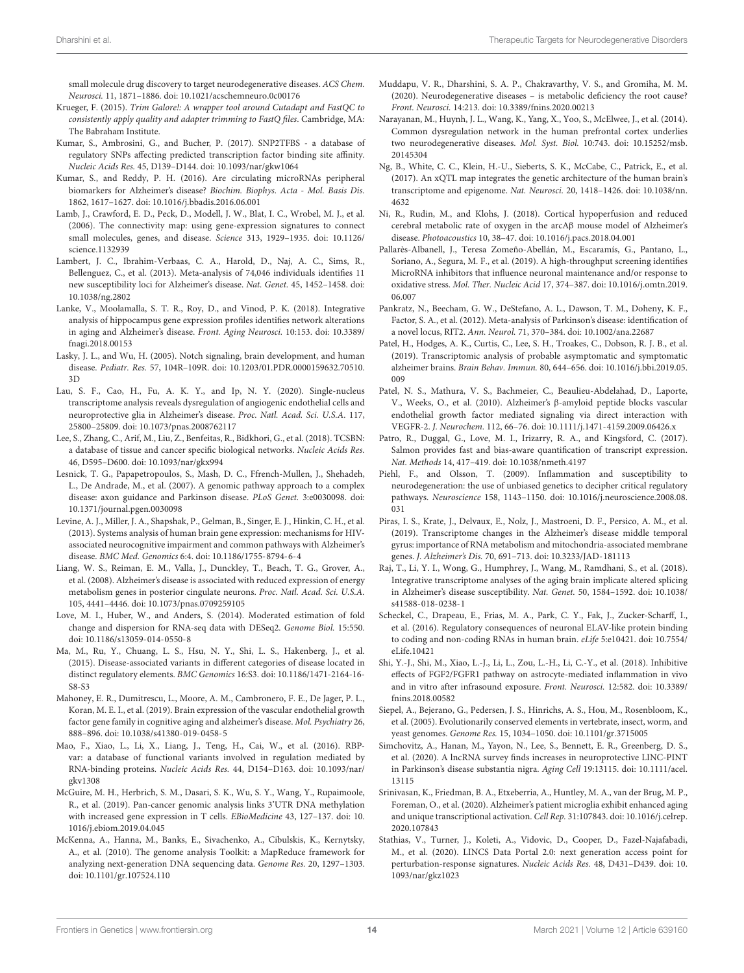small molecule drug discovery to target neurodegenerative diseases. ACS Chem. Neurosci. 11, 1871–1886. doi: 10.1021/acschemneuro.0c00176

- Krueger, F. (2015). Trim Galore!: A wrapper tool around Cutadapt and FastQC to consistently apply quality and adapter trimming to FastQ files. Cambridge, MA: The Babraham Institute.
- Kumar, S., Ambrosini, G., and Bucher, P. (2017). SNP2TFBS a database of regulatory SNPs affecting predicted transcription factor binding site affinity. Nucleic Acids Res. 45, D139–D144. doi: 10.1093/nar/gkw1064
- Kumar, S., and Reddy, P. H. (2016). Are circulating microRNAs peripheral biomarkers for Alzheimer's disease? Biochim. Biophys. Acta - Mol. Basis Dis. 1862, 1617–1627. doi: 10.1016/j.bbadis.2016.06.001
- Lamb, J., Crawford, E. D., Peck, D., Modell, J. W., Blat, I. C., Wrobel, M. J., et al. (2006). The connectivity map: using gene-expression signatures to connect small molecules, genes, and disease. Science 313, 1929–1935. doi: 10.1126/ science.1132939
- Lambert, J. C., Ibrahim-Verbaas, C. A., Harold, D., Naj, A. C., Sims, R., Bellenguez, C., et al. (2013). Meta-analysis of 74,046 individuals identifies 11 new susceptibility loci for Alzheimer's disease. Nat. Genet. 45, 1452–1458. doi: 10.1038/ng.2802
- Lanke, V., Moolamalla, S. T. R., Roy, D., and Vinod, P. K. (2018). Integrative analysis of hippocampus gene expression profiles identifies network alterations in aging and Alzheimer's disease. Front. Aging Neurosci. 10:153. doi: 10.3389/ fnagi.2018.00153
- Lasky, J. L., and Wu, H. (2005). Notch signaling, brain development, and human disease. Pediatr. Res. 57, 104R–109R. doi: 10.1203/01.PDR.0000159632.70510. 3D
- Lau, S. F., Cao, H., Fu, A. K. Y., and Ip, N. Y. (2020). Single-nucleus transcriptome analysis reveals dysregulation of angiogenic endothelial cells and neuroprotective glia in Alzheimer's disease. Proc. Natl. Acad. Sci. U.S.A. 117, 25800–25809. doi: 10.1073/pnas.2008762117
- Lee, S., Zhang, C., Arif, M., Liu, Z., Benfeitas, R., Bidkhori, G., et al. (2018). TCSBN: a database of tissue and cancer specific biological networks. Nucleic Acids Res. 46, D595–D600. doi: 10.1093/nar/gkx994
- Lesnick, T. G., Papapetropoulos, S., Mash, D. C., Ffrench-Mullen, J., Shehadeh, L., De Andrade, M., et al. (2007). A genomic pathway approach to a complex disease: axon guidance and Parkinson disease. PLoS Genet. 3:e0030098. doi: 10.1371/journal.pgen.0030098
- Levine, A. J., Miller, J. A., Shapshak, P., Gelman, B., Singer, E. J., Hinkin, C. H., et al. (2013). Systems analysis of human brain gene expression: mechanisms for HIVassociated neurocognitive impairment and common pathways with Alzheimer's disease. BMC Med. Genomics 6:4. doi: 10.1186/1755-8794-6-4
- Liang, W. S., Reiman, E. M., Valla, J., Dunckley, T., Beach, T. G., Grover, A., et al. (2008). Alzheimer's disease is associated with reduced expression of energy metabolism genes in posterior cingulate neurons. Proc. Natl. Acad. Sci. U.S.A. 105, 4441–4446. doi: 10.1073/pnas.0709259105
- Love, M. I., Huber, W., and Anders, S. (2014). Moderated estimation of fold change and dispersion for RNA-seq data with DESeq2. Genome Biol. 15:550. doi: 10.1186/s13059-014-0550-8
- Ma, M., Ru, Y., Chuang, L. S., Hsu, N. Y., Shi, L. S., Hakenberg, J., et al. (2015). Disease-associated variants in different categories of disease located in distinct regulatory elements. BMC Genomics 16:S3. doi: 10.1186/1471-2164-16- S8-S3
- Mahoney, E. R., Dumitrescu, L., Moore, A. M., Cambronero, F. E., De Jager, P. L., Koran, M. E. I., et al. (2019). Brain expression of the vascular endothelial growth factor gene family in cognitive aging and alzheimer's disease. Mol. Psychiatry 26, 888–896. doi: 10.1038/s41380-019-0458-5
- Mao, F., Xiao, L., Li, X., Liang, J., Teng, H., Cai, W., et al. (2016). RBPvar: a database of functional variants involved in regulation mediated by RNA-binding proteins. Nucleic Acids Res. 44, D154–D163. doi: 10.1093/nar/ gkv1308
- McGuire, M. H., Herbrich, S. M., Dasari, S. K., Wu, S. Y., Wang, Y., Rupaimoole, R., et al. (2019). Pan-cancer genomic analysis links 3'UTR DNA methylation with increased gene expression in T cells. EBioMedicine 43, 127–137. doi: 10. 1016/j.ebiom.2019.04.045
- McKenna, A., Hanna, M., Banks, E., Sivachenko, A., Cibulskis, K., Kernytsky, A., et al. (2010). The genome analysis Toolkit: a MapReduce framework for analyzing next-generation DNA sequencing data. Genome Res. 20, 1297–1303. doi: 10.1101/gr.107524.110
- Muddapu, V. R., Dharshini, S. A. P., Chakravarthy, V. S., and Gromiha, M. M. (2020). Neurodegenerative diseases – is metabolic deficiency the root cause? Front. Neurosci. 14:213. doi: 10.3389/fnins.2020.00213
- Narayanan, M., Huynh, J. L., Wang, K., Yang, X., Yoo, S., McElwee, J., et al. (2014). Common dysregulation network in the human prefrontal cortex underlies two neurodegenerative diseases. Mol. Syst. Biol. 10:743. doi: 10.15252/msb. 20145304
- Ng, B., White, C. C., Klein, H.-U., Sieberts, S. K., McCabe, C., Patrick, E., et al. (2017). An xQTL map integrates the genetic architecture of the human brain's transcriptome and epigenome. Nat. Neurosci. 20, 1418–1426. doi: 10.1038/nn. 4632
- Ni, R., Rudin, M., and Klohs, J. (2018). Cortical hypoperfusion and reduced cerebral metabolic rate of oxygen in the arcAβ mouse model of Alzheimer's disease. Photoacoustics 10, 38–47. doi: 10.1016/j.pacs.2018.04.001
- Pallarès-Albanell, J., Teresa Zomeño-Abellán, M., Escaramís, G., Pantano, L., Soriano, A., Segura, M. F., et al. (2019). A high-throughput screening identifies MicroRNA inhibitors that influence neuronal maintenance and/or response to oxidative stress. Mol. Ther. Nucleic Acid 17, 374–387. doi: 10.1016/j.omtn.2019. 06.007
- Pankratz, N., Beecham, G. W., DeStefano, A. L., Dawson, T. M., Doheny, K. F., Factor, S. A., et al. (2012). Meta-analysis of Parkinson's disease: identification of a novel locus, RIT2. Ann. Neurol. 71, 370–384. doi: 10.1002/ana.22687
- Patel, H., Hodges, A. K., Curtis, C., Lee, S. H., Troakes, C., Dobson, R. J. B., et al. (2019). Transcriptomic analysis of probable asymptomatic and symptomatic alzheimer brains. Brain Behav. Immun. 80, 644–656. doi: 10.1016/j.bbi.2019.05. 009
- Patel, N. S., Mathura, V. S., Bachmeier, C., Beaulieu-Abdelahad, D., Laporte, V., Weeks, O., et al. (2010). Alzheimer's β-amyloid peptide blocks vascular endothelial growth factor mediated signaling via direct interaction with VEGFR-2. J. Neurochem. 112, 66–76. doi: 10.1111/j.1471-4159.2009.06426.x
- Patro, R., Duggal, G., Love, M. I., Irizarry, R. A., and Kingsford, C. (2017). Salmon provides fast and bias-aware quantification of transcript expression. Nat. Methods 14, 417–419. doi: 10.1038/nmeth.4197
- Piehl, F., and Olsson, T. (2009). Inflammation and susceptibility to neurodegeneration: the use of unbiased genetics to decipher critical regulatory pathways. Neuroscience 158, 1143–1150. doi: 10.1016/j.neuroscience.2008.08. 031
- Piras, I. S., Krate, J., Delvaux, E., Nolz, J., Mastroeni, D. F., Persico, A. M., et al. (2019). Transcriptome changes in the Alzheimer's disease middle temporal gyrus: importance of RNA metabolism and mitochondria-associated membrane genes. J. Alzheimer's Dis. 70, 691–713. doi: 10.3233/JAD-181113
- Raj, T., Li, Y. I., Wong, G., Humphrey, J., Wang, M., Ramdhani, S., et al. (2018). Integrative transcriptome analyses of the aging brain implicate altered splicing in Alzheimer's disease susceptibility. Nat. Genet. 50, 1584–1592. doi: 10.1038/ s41588-018-0238-1
- Scheckel, C., Drapeau, E., Frias, M. A., Park, C. Y., Fak, J., Zucker-Scharff, I., et al. (2016). Regulatory consequences of neuronal ELAV-like protein binding to coding and non-coding RNAs in human brain. eLife 5:e10421. doi: 10.7554/ eLife.10421
- Shi, Y.-J., Shi, M., Xiao, L.-J., Li, L., Zou, L.-H., Li, C.-Y., et al. (2018). Inhibitive effects of FGF2/FGFR1 pathway on astrocyte-mediated inflammation in vivo and in vitro after infrasound exposure. Front. Neurosci. 12:582. doi: 10.3389/ fnins.2018.00582
- Siepel, A., Bejerano, G., Pedersen, J. S., Hinrichs, A. S., Hou, M., Rosenbloom, K., et al. (2005). Evolutionarily conserved elements in vertebrate, insect, worm, and yeast genomes. Genome Res. 15, 1034–1050. doi: 10.1101/gr.3715005
- Simchovitz, A., Hanan, M., Yayon, N., Lee, S., Bennett, E. R., Greenberg, D. S., et al. (2020). A lncRNA survey finds increases in neuroprotective LINC-PINT in Parkinson's disease substantia nigra. Aging Cell 19:13115. doi: 10.1111/acel. 13115
- Srinivasan, K., Friedman, B. A., Etxeberria, A., Huntley, M. A., van der Brug, M. P., Foreman, O., et al. (2020). Alzheimer's patient microglia exhibit enhanced aging and unique transcriptional activation. Cell Rep. 31:107843. doi: 10.1016/j.celrep. 2020.107843
- Stathias, V., Turner, J., Koleti, A., Vidovic, D., Cooper, D., Fazel-Najafabadi, M., et al. (2020). LINCS Data Portal 2.0: next generation access point for perturbation-response signatures. Nucleic Acids Res. 48, D431–D439. doi: 10. 1093/nar/gkz1023